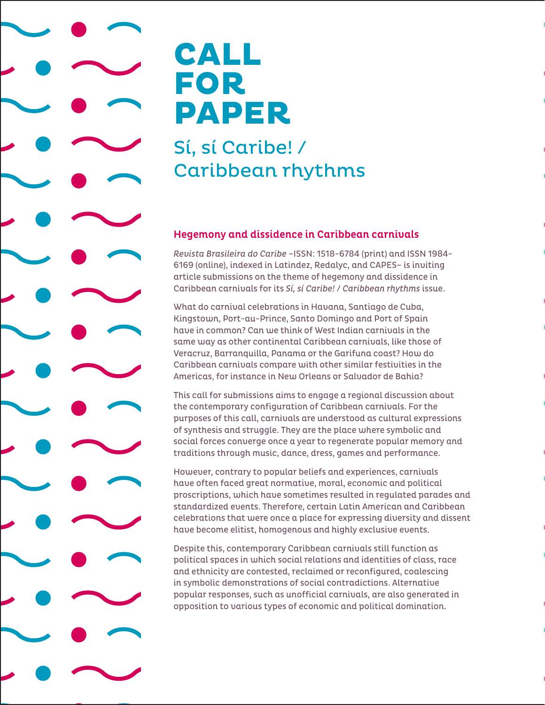## CALL FOR PAPER

## Sí, sí Caribe! / Caribbean rhythms

## Hegemony and dissidence in Caribbean carnivals

*Revista Brasileira do Caribe* –ISSN: 1518-6784 (print) and ISSN 1984- 6169 (online), indexed in Latindez, Redalyc, and CAPES– is inviting article submissions on the theme of hegemony and dissidence in Caribbean carnivals for its *Sí, sí Caribe!* / *Caribbean rhythms* issue.

What do carnival celebrations in Havana, Santiago de Cuba, Kingstown, Port-au-Prince, Santo Domingo and Port of Spain have in common? Can we think of West Indian carnivals in the same way as other continental Caribbean carnivals, like those of Veracruz, Barranquilla, Panama or the Garifuna coast? How do Caribbean carnivals compare with other similar festivities in the Americas, for instance in New Orleans or Salvador de Bahia?

This call for submissions aims to engage a regional discussion about the contemporary configuration of Caribbean carnivals. For the purposes of this call, carnivals are understood as cultural expressions of synthesis and struggle. They are the place where symbolic and social forces converge once a year to regenerate popular memory and traditions through music, dance, dress, games and performance.

However, contrary to popular beliefs and experiences, carnivals have often faced great normative, moral, economic and political proscriptions, which have sometimes resulted in regulated parades and standardized events. Therefore, certain Latin American and Caribbean celebrations that were once a place for expressing diversity and dissent have become elitist, homogenous and highly exclusive events.

Despite this, contemporary Caribbean carnivals still function as political spaces in which social relations and identities of class, race and ethnicity are contested, reclaimed or reconfigured, coalescing in symbolic demonstrations of social contradictions. Alternative popular responses, such as unofficial carnivals, are also generated in opposition to various types of economic and political domination.